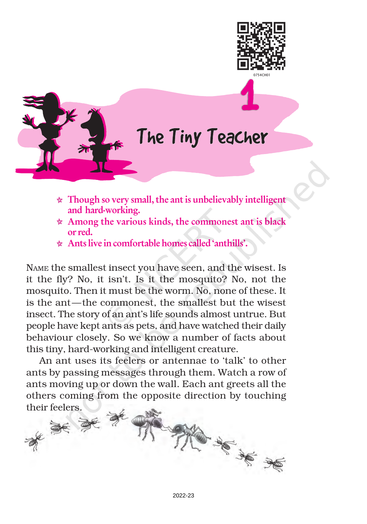



## The Tiny Teacher

- $\star$  Though so very small, the ant is unbelievably intelligent and hard-working.
- $\star$  Among the various kinds, the commonest ant is black or red.
- Ants live in comfortable homes called 'anthills'.

NAME the smallest insect you have seen, and the wisest. Is it the fly? No, it isn't. Is it the mosquito? No, not the mosquito. Then it must be the worm. No, none of these. It is the ant—the commonest, the smallest but the wisest insect. The story of an ant's life sounds almost untrue. But people have kept ants as pets, and have watched their daily behaviour closely. So we know a number of facts about this tiny, hard-working and intelligent creature.

An ant uses its feelers or antennae to 'talk' to other ants by passing messages through them. Watch a row of ants moving up or down the wall. Each ant greets all the others coming from the opposite direction by touching

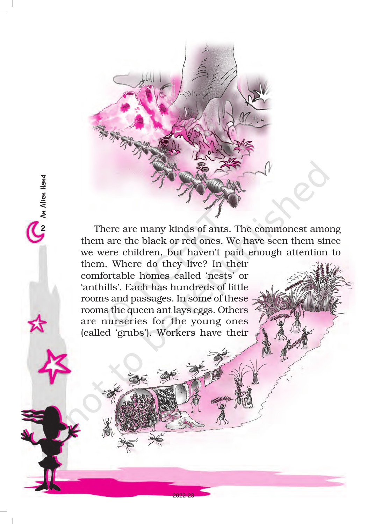

There are many kinds of ants. The commonest among them are the black or red ones. We have seen them since we were children, but haven't paid enough attention to

them. Where do they live? In their comfortable homes called 'nests' or 'anthills'. Each has hundreds of little rooms and passages. In some of these rooms the queen ant lays eggs. Others are nurseries for the young ones (called 'grubs'). Workers have their

2An Alien Hand

Ca An Alien Hand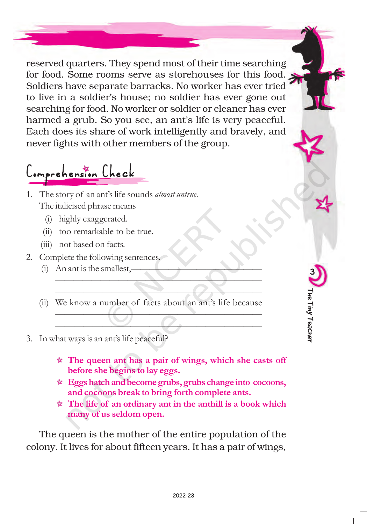reserved quarters. They spend most of their time searching for food. Some rooms serve as storehouses for this food. Soldiers have separate barracks. No worker has ever tried to live in a soldier's house; no soldier has ever gone out searching for food. No worker or soldier or cleaner has ever harmed a grub. So you see, an ant's life is very peaceful. Each does its share of work intelligently and bravely, and never fights with other members of the group.

Comprehension Check

- 1. The story of an ant's life sounds almost untrue. The italicised phrase means
	- (i) highly exaggerated.
	- (ii) too remarkable to be true.
	- (iii) not based on facts.
- 2. Complete the following sentences.
	- $(i)$  An ant is the smallest,
	- (ii) We know a number of facts about an ant's life because

——————————————————————— ——————————————————————

 $\left(\begin{array}{ccc} \bullet & \bullet & \bullet \end{array}\right)$  $\longrightarrow$ 

- 3. In what ways is an ant's life peaceful?
	- $\star$  The queen ant has a pair of wings, which she casts off before she begins to lay eggs.

3

The Tiny Teacher

The Tiny Teacher

- \* Eggs hatch and become grubs, grubs change into cocoons, and cocoons break to bring forth complete ants.
- $\star$  The life of an ordinary ant in the anthill is a book which many of us seldom open.

The queen is the mother of the entire population of the colony. It lives for about fifteen years. It has a pair of wings,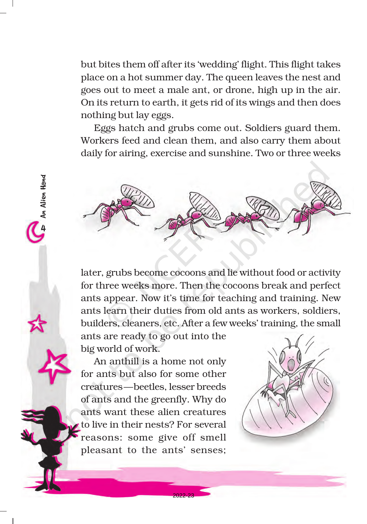but bites them off after its 'wedding' flight. This flight takes place on a hot summer day. The queen leaves the nest and goes out to meet a male ant, or drone, high up in the air. On its return to earth, it gets rid of its wings and then does nothing but lay eggs.

Eggs hatch and grubs come out. Soldiers guard them. Workers feed and clean them, and also carry them about daily for airing, exercise and sunshine. Two or three weeks



later, grubs become cocoons and lie without food or activity for three weeks more. Then the cocoons break and perfect ants appear. Now it's time for teaching and training. New ants learn their duties from old ants as workers, soldiers, builders, cleaners, etc. After a few weeks' training, the small ants are ready to go out into the

big world of work.

4An Alien Hand

An Alien Hand

An anthill is a home not only for ants but also for some other creatures—beetles, lesser breeds of ants and the greenfly. Why do ants want these alien creatures to live in their nests? For several reasons: some give off smell pleasant to the ants' senses;

2022-23

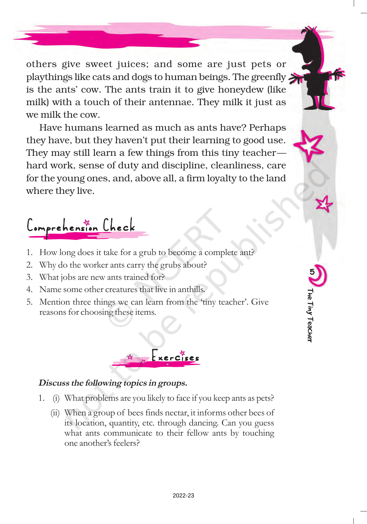others give sweet juices; and some are just pets or playthings like cats and dogs to human beings. The greenfly is the ants' cow. The ants train it to give honeydew (like milk) with a touch of their antennae. They milk it just as we milk the cow.

Have humans learned as much as ants have? Perhaps they have, but they haven't put their learning to good use. They may still learn a few things from this tiny teacher hard work, sense of duty and discipline, cleanliness, care for the young ones, and, above all, a firm loyalty to the land where they live.

Comprehension Check

- 1. How long does it take for a grub to become a complete ant?
- 2. Why do the worker ants carry the grubs about?
- 3. What jobs are new ants trained for?
- 4. Name some other creatures that live in anthills.
- 5. Mention three things we can learn from the 'tiny teacher'. Give reasons for choosing these items.



## Discuss the following topics in groups.

- 1. (i) What problems are you likely to face if you keep ants as pets?
	- (ii) When a group of bees finds nectar, it informs other bees of its location, quantity, etc. through dancing. Can you guess what ants communicate to their fellow ants by touching one another's feelers?